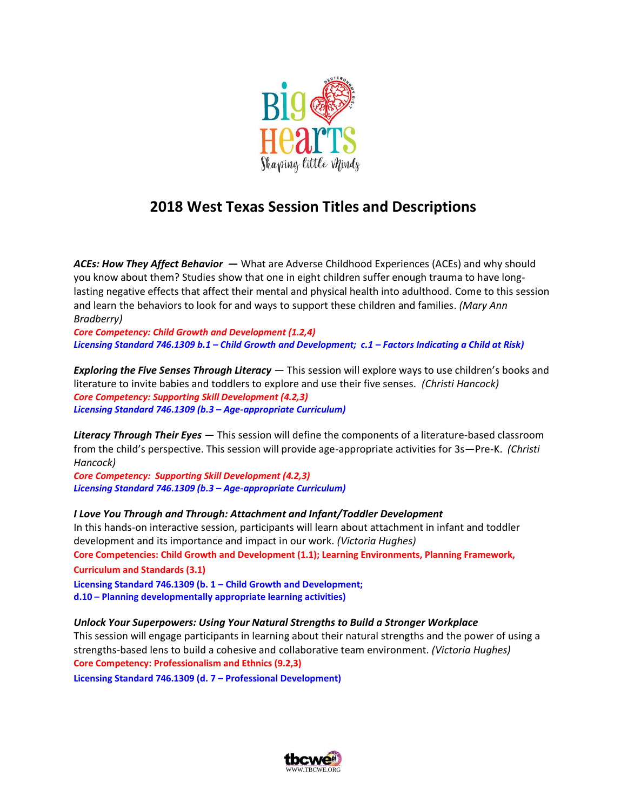

## **2018 West Texas Session Titles and Descriptions**

*ACEs: How They Affect Behavior —* What are Adverse Childhood Experiences (ACEs) and why should you know about them? Studies show that one in eight children suffer enough trauma to have longlasting negative effects that affect their mental and physical health into adulthood. Come to this session and learn the behaviors to look for and ways to support these children and families. *(Mary Ann Bradberry)*

*Core Competency: Child Growth and Development (1.2,4) Licensing Standard 746.1309 b.1 – Child Growth and Development; c.1 – Factors Indicating a Child at Risk)*

*Exploring the Five Senses Through Literacy* — This session will explore ways to use children's books and literature to invite babies and toddlers to explore and use their five senses. *(Christi Hancock) Core Competency: Supporting Skill Development (4.2,3) Licensing Standard 746.1309 (b.3 – Age-appropriate Curriculum)*

*Literacy Through Their Eyes* — This session will define the components of a literature-based classroom from the child's perspective. This session will provide age-appropriate activities for 3s—Pre-K. *(Christi Hancock)*

*Core Competency: Supporting Skill Development (4.2,3) Licensing Standard 746.1309 (b.3 – Age-appropriate Curriculum)*

*I Love You Through and Through: Attachment and Infant/Toddler Development* In this hands-on interactive session, participants will learn about attachment in infant and toddler development and its importance and impact in our work. *(Victoria Hughes)* **Core Competencies: Child Growth and Development (1.1); Learning Environments, Planning Framework, Curriculum and Standards (3.1) Licensing Standard 746.1309 (b. 1 – Child Growth and Development;**

**d.10 – Planning developmentally appropriate learning activities)**

## *Unlock Your Superpowers: Using Your Natural Strengths to Build a Stronger Workplace*

This session will engage participants in learning about their natural strengths and the power of using a strengths-based lens to build a cohesive and collaborative team environment. *(Victoria Hughes)* **Core Competency: Professionalism and Ethnics (9.2,3)**

**Licensing Standard 746.1309 (d. 7 – Professional Development)**

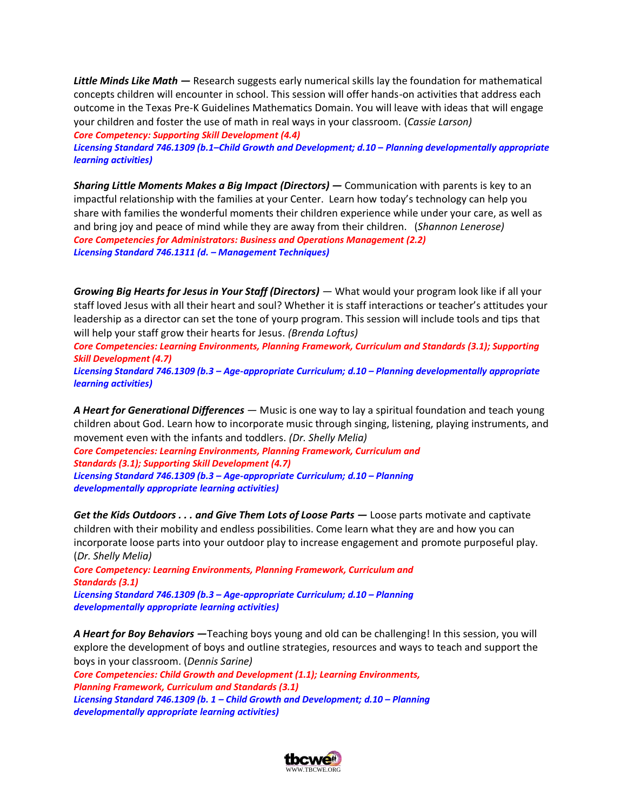*Little Minds Like Math —* Research suggests early numerical skills lay the foundation for mathematical concepts children will encounter in school. This session will offer hands-on activities that address each outcome in the Texas Pre-K Guidelines Mathematics Domain. You will leave with ideas that will engage your children and foster the use of math in real ways in your classroom. (*Cassie Larson)*

*Core Competency: Supporting Skill Development (4.4)*

*Licensing Standard 746.1309 (b.1–Child Growth and Development; d.10 – Planning developmentally appropriate learning activities)*

*Sharing Little Moments Makes a Big Impact (Directors) —* Communication with parents is key to an impactful relationship with the families at your Center. Learn how today's technology can help you share with families the wonderful moments their children experience while under your care, as well as and bring joy and peace of mind while they are away from their children. (*Shannon Lenerose) Core Competencies for Administrators: Business and Operations Management (2.2) Licensing Standard 746.1311 (d. – Management Techniques)*

*Growing Big Hearts for Jesus in Your Staff (Directors) — What would your program look like if all your* staff loved Jesus with all their heart and soul? Whether it is staff interactions or teacher's attitudes your leadership as a director can set the tone of yourp program. This session will include tools and tips that will help your staff grow their hearts for Jesus. *(Brenda Loftus)*

*Core Competencies: Learning Environments, Planning Framework, Curriculum and Standards (3.1); Supporting Skill Development (4.7)*

*Licensing Standard 746.1309 (b.3 – Age-appropriate Curriculum; d.10 – Planning developmentally appropriate learning activities)*

*A Heart for Generational Differences —* Music is one way to lay a spiritual foundation and teach young children about God. Learn how to incorporate music through singing, listening, playing instruments, and movement even with the infants and toddlers. *(Dr. Shelly Melia)*

*Core Competencies: Learning Environments, Planning Framework, Curriculum and Standards (3.1); Supporting Skill Development (4.7) Licensing Standard 746.1309 (b.3 – Age-appropriate Curriculum; d.10 – Planning developmentally appropriate learning activities)*

*Get the Kids Outdoors . . . and Give Them Lots of Loose Parts —* Loose parts motivate and captivate children with their mobility and endless possibilities. Come learn what they are and how you can incorporate loose parts into your outdoor play to increase engagement and promote purposeful play. (*Dr. Shelly Melia)*

*Core Competency: Learning Environments, Planning Framework, Curriculum and Standards (3.1) Licensing Standard 746.1309 (b.3 – Age-appropriate Curriculum; d.10 – Planning developmentally appropriate learning activities)*

*A Heart for Boy Behaviors —*Teaching boys young and old can be challenging! In this session, you will explore the development of boys and outline strategies, resources and ways to teach and support the boys in your classroom. (*Dennis Sarine)*

*Core Competencies: Child Growth and Development (1.1); Learning Environments, Planning Framework, Curriculum and Standards (3.1) Licensing Standard 746.1309 (b. 1 – Child Growth and Development; d.10 – Planning developmentally appropriate learning activities)*